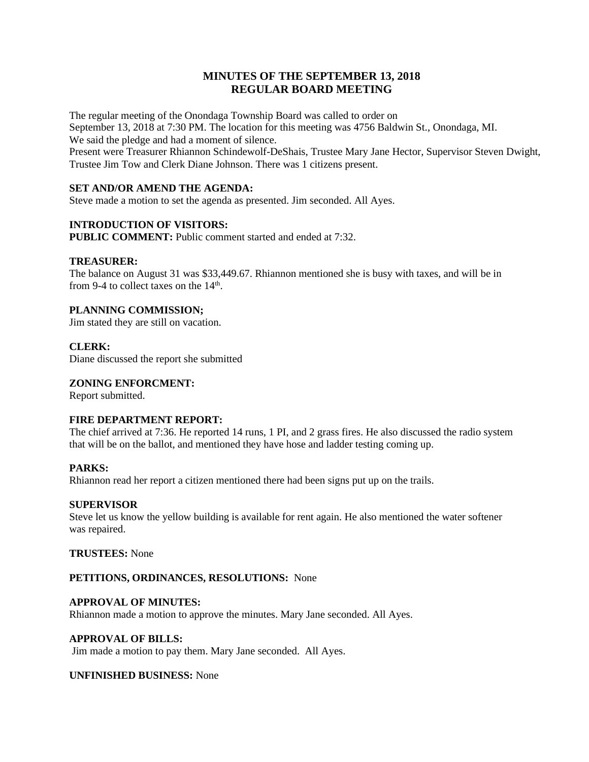# **MINUTES OF THE SEPTEMBER 13, 2018 REGULAR BOARD MEETING**

The regular meeting of the Onondaga Township Board was called to order on September 13, 2018 at 7:30 PM. The location for this meeting was 4756 Baldwin St., Onondaga, MI. We said the pledge and had a moment of silence.

Present were Treasurer Rhiannon Schindewolf-DeShais, Trustee Mary Jane Hector, Supervisor Steven Dwight, Trustee Jim Tow and Clerk Diane Johnson. There was 1 citizens present.

# **SET AND/OR AMEND THE AGENDA:**

Steve made a motion to set the agenda as presented. Jim seconded. All Ayes.

# **INTRODUCTION OF VISITORS:**

**PUBLIC COMMENT:** Public comment started and ended at 7:32.

### **TREASURER:**

The balance on August 31 was \$33,449.67. Rhiannon mentioned she is busy with taxes, and will be in from 9-4 to collect taxes on the  $14<sup>th</sup>$ .

# **PLANNING COMMISSION;**

Jim stated they are still on vacation.

# **CLERK:**

Diane discussed the report she submitted

### **ZONING ENFORCMENT:**

Report submitted.

#### **FIRE DEPARTMENT REPORT:**

The chief arrived at 7:36. He reported 14 runs, 1 PI, and 2 grass fires. He also discussed the radio system that will be on the ballot, and mentioned they have hose and ladder testing coming up.

# **PARKS:**

Rhiannon read her report a citizen mentioned there had been signs put up on the trails.

#### **SUPERVISOR**

Steve let us know the yellow building is available for rent again. He also mentioned the water softener was repaired.

**TRUSTEES:** None

### **PETITIONS, ORDINANCES, RESOLUTIONS:** None

#### **APPROVAL OF MINUTES:**

Rhiannon made a motion to approve the minutes. Mary Jane seconded. All Ayes.

### **APPROVAL OF BILLS:**

Jim made a motion to pay them. Mary Jane seconded. All Ayes.

#### **UNFINISHED BUSINESS:** None